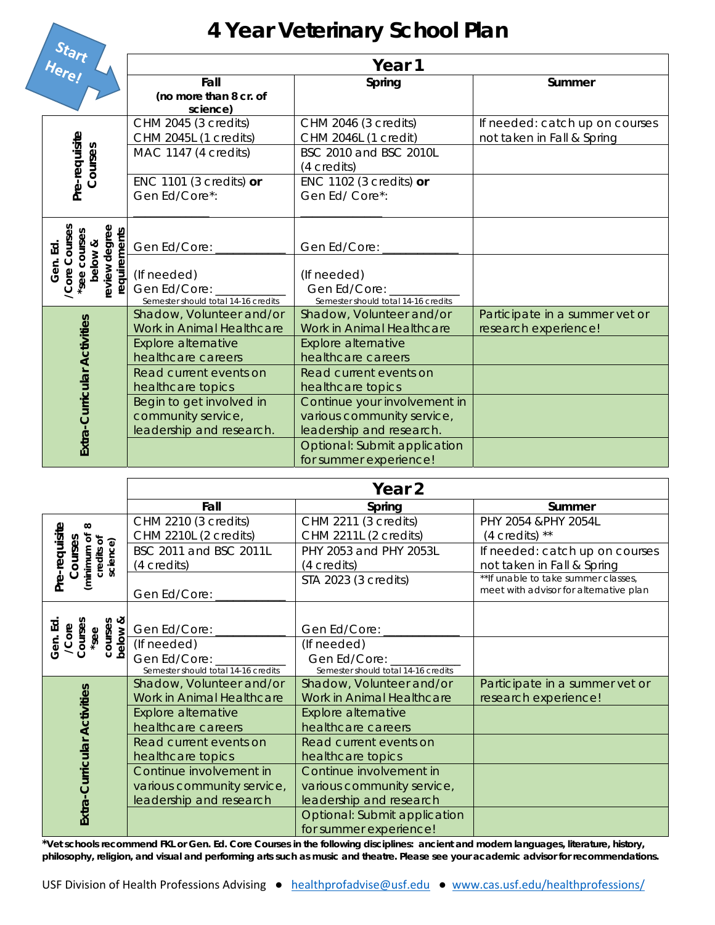## **4 Year Veterinary School Plan**

| uart<br>Here!                                                                        | Year 1                                                                                             |                                                                                                    |                                                              |  |
|--------------------------------------------------------------------------------------|----------------------------------------------------------------------------------------------------|----------------------------------------------------------------------------------------------------|--------------------------------------------------------------|--|
|                                                                                      | Fall<br>(no more than 8 cr. of<br>science)                                                         | Spring                                                                                             | Summer                                                       |  |
| Pre-requisite<br>Courses                                                             | CHM 2045 (3 credits)<br>CHM 2045L (1 credits)<br>MAC 1147 (4 credits)                              | CHM 2046 (3 credits)<br>CHM 2046L (1 credit)<br>BSC 2010 and BSC 2010L<br>(4 credits)              | If needed: catch up on courses<br>not taken in Fall & Spring |  |
|                                                                                      | ENC 1101 (3 credits) $or$<br>Gen Ed/Core*:                                                         | ENC 1102 (3 credits) $or$<br>Gen Ed/Core*:                                                         |                                                              |  |
| review degree<br>/Core Courses<br>requirements<br>'see courses<br>below &<br>Gen. Ed | Gen Ed/Core: __<br>(If needed)<br>Gen Ed/Core:<br>Semester should total 14-16 credits              | Gen Ed/Core: __<br>(If needed)<br>Gen Ed/Core:<br>Semester should total 14-16 credits              |                                                              |  |
|                                                                                      | Shadow, Volunteer and/or<br>Work in Animal Healthcare<br>Explore alternative<br>healthcare careers | Shadow, Volunteer and/or<br>Work in Animal Healthcare<br>Explore alternative<br>healthcare careers | Participate in a summer vet or<br>research experience!       |  |
| Extra-Curricular Activities                                                          | Read current events on<br>healthcare topics<br>Begin to get involved in                            | Read current events on<br>healthcare topics<br>Continue your involvement in                        |                                                              |  |
|                                                                                      | community service,<br>leadership and research.                                                     | various community service,<br>leadership and research.                                             |                                                              |  |
|                                                                                      |                                                                                                    | Optional: Submit application<br>for summer experience!                                             |                                                              |  |

|                                                                               | Year 2                              |                                     |                                                                                |
|-------------------------------------------------------------------------------|-------------------------------------|-------------------------------------|--------------------------------------------------------------------------------|
|                                                                               | Fall                                | Spring                              | Summer                                                                         |
| Pre-requisite<br>$\infty$<br>Courses<br>(minimum of<br>credits of<br>science) | CHM 2210 (3 credits)                | CHM 2211 (3 credits)                | PHY 2054 & PHY 2054L                                                           |
|                                                                               | CHM 2210L (2 credits)               | CHM 2211L (2 credits)               | $(4 \text{ credits})$ **                                                       |
|                                                                               | BSC 2011 and BSC 2011L              | PHY 2053 and PHY 2053L              | If needed: catch up on courses                                                 |
|                                                                               | (4 credits)                         | (4 credits)                         | not taken in Fall & Spring                                                     |
|                                                                               | Gen Ed/Core:                        | STA 2023 (3 credits)                | ** If unable to take summer classes,<br>meet with advisor for alternative plan |
|                                                                               |                                     |                                     |                                                                                |
| courses<br><b>below &amp;</b><br>Courses<br>Gen. Ed<br>/Core<br>3ee           | Gen Ed/Core: __                     | Gen Ed/Core: _                      |                                                                                |
|                                                                               | (If needed)                         | (If needed)                         |                                                                                |
|                                                                               | Gen Ed/Core:                        | Gen Ed/Core: _______                |                                                                                |
|                                                                               | Semester should total 14-16 credits | Semester should total 14-16 credits |                                                                                |
|                                                                               | Shadow, Volunteer and/or            | Shadow, Volunteer and/or            | Participate in a summer vet or                                                 |
|                                                                               | Work in Animal Healthcare           | Work in Animal Healthcare           | research experience!                                                           |
|                                                                               | Explore alternative                 | Explore alternative                 |                                                                                |
| Extra-Curricular Activities                                                   | healthcare careers                  | healthcare careers                  |                                                                                |
|                                                                               | Read current events on              | Read current events on              |                                                                                |
|                                                                               | healthcare topics                   | healthcare topics                   |                                                                                |
|                                                                               | Continue involvement in             | Continue involvement in             |                                                                                |
|                                                                               | various community service,          | various community service,          |                                                                                |
|                                                                               | leadership and research             | leadership and research             |                                                                                |
|                                                                               |                                     | Optional: Submit application        |                                                                                |
|                                                                               |                                     | for summer experience!              |                                                                                |

**\*Vet schools recommend FKL or Gen. Ed. Core Courses in the following disciplines: ancient and modern languages, literature, history, philosophy, religion, and visual and performing arts such as music and theatre. Please see your academic advisor for recommendations.**